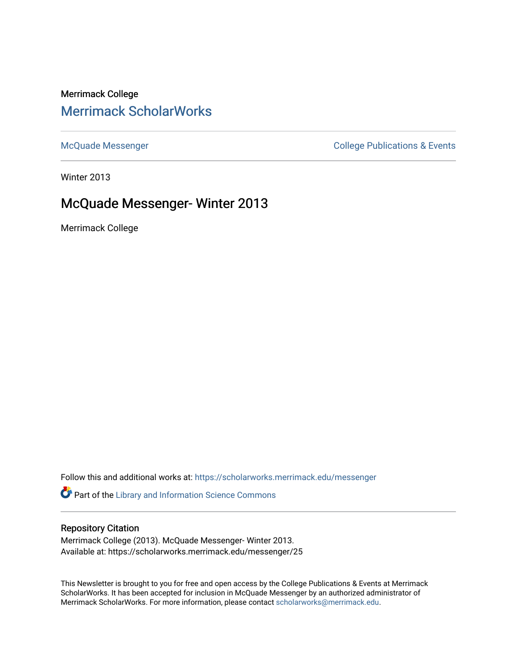# Merrimack College [Merrimack ScholarWorks](https://scholarworks.merrimack.edu/)

[McQuade Messenger](https://scholarworks.merrimack.edu/messenger) College Publications & Events

Winter 2013

# McQuade Messenger- Winter 2013

Merrimack College

Follow this and additional works at: [https://scholarworks.merrimack.edu/messenger](https://scholarworks.merrimack.edu/messenger?utm_source=scholarworks.merrimack.edu%2Fmessenger%2F25&utm_medium=PDF&utm_campaign=PDFCoverPages) 

Part of the [Library and Information Science Commons](http://network.bepress.com/hgg/discipline/1018?utm_source=scholarworks.merrimack.edu%2Fmessenger%2F25&utm_medium=PDF&utm_campaign=PDFCoverPages) 

# Repository Citation

Merrimack College (2013). McQuade Messenger- Winter 2013. Available at: https://scholarworks.merrimack.edu/messenger/25

This Newsletter is brought to you for free and open access by the College Publications & Events at Merrimack ScholarWorks. It has been accepted for inclusion in McQuade Messenger by an authorized administrator of Merrimack ScholarWorks. For more information, please contact [scholarworks@merrimack.edu](mailto:scholarworks@merrimack.edu).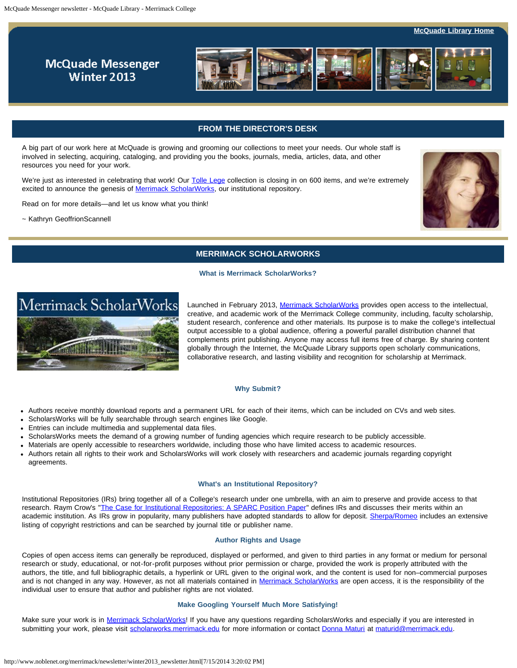**[McQuade Library Home](http://www.merrimack.edu/library/)** 

# **McQuade Messenger** Winter 2013



# **FROM THE DIRECTOR'S DESK**

<span id="page-1-0"></span>A big part of our work here at McQuade is growing and grooming our collections to meet your needs. Our whole staff is involved in selecting, acquiring, cataloging, and providing you the books, journals, media, articles, data, and other resources you need for your work.

We're just as interested in celebrating that work! Our [Tolle Lege](http://server1.noblenet.org/merrimack/blog1/events/10th-annual-tolle-lege-reception/) collection is closing in on 600 items, and we're extremely excited to announce the genesis of [Merrimack ScholarWorks](http://scholarworks.merrimack.edu/), our institutional repository.

Read on for more details—and let us know what you think!

~ Kathryn GeoffrionScannell



# **MERRIMACK SCHOLARWORKS**

#### **What is Merrimack ScholarWorks?**



Launched in February 2013, [Merrimack ScholarWorks](http://scholarworks.merrimack.edu/) provides open access to the intellectual, creative, and academic work of the Merrimack College community, including, faculty scholarship, student research, conference and other materials. Its purpose is to make the college's intellectual output accessible to a global audience, offering a powerful parallel distribution channel that complements print publishing. Anyone may access full items free of charge. By sharing content globally through the Internet, the McQuade Library supports open scholarly communications, collaborative research, and lasting visibility and recognition for scholarship at Merrimack.

#### **Why Submit?**

- Authors receive monthly download reports and a permanent URL for each of their items, which can be included on CVs and web sites.
- ScholarsWorks will be fully searchable through search engines like Google.
- Entries can include multimedia and supplemental data files.
- ScholarsWorks meets the demand of a growing number of funding agencies which require research to be publicly accessible.
- Materials are openly accessible to researchers worldwide, including those who have limited access to academic resources.
- Authors retain all rights to their work and ScholarsWorks will work closely with researchers and academic journals regarding copyright agreements.

#### **What's an Institutional Repository?**

Institutional Repositories (IRs) bring together all of a College's research under one umbrella, with an aim to preserve and provide access to that research. Raym Crow's "[The Case for Institutional Repositories: A SPARC Position Paper"](http://www.arl.org/sparc/bm~doc/ir_final_release_102.pdf) defines IRs and discusses their merits within an academic institution. As IRs grow in popularity, many publishers have adopted standards to allow for deposit. [Sherpa/Romeo](http://www.sherpa.ac.uk/romeo/) includes an extensive listing of copyright restrictions and can be searched by journal title or publisher name.

#### **Author Rights and Usage**

Copies of open access items can generally be reproduced, displayed or performed, and given to third parties in any format or medium for personal research or study, educational, or not-for-profit purposes without prior permission or charge, provided the work is properly attributed with the authors, the title, and full bibliographic details, a hyperlink or URL given to the original work, and the content is used for non–commercial purposes and is not changed in any way. However, as not all materials contained in [Merrimack ScholarWorks](http://scholarworks.merrimack.edu/) are open access, it is the responsibility of the individual user to ensure that author and publisher rights are not violated.

#### **Make Googling Yourself Much More Satisfying!**

Make sure your work is in [Merrimack ScholarWorks!](http://scholarworks.merrimack.edu/) If you have any questions regarding ScholarsWorks and especially if you are interested in submitting your work, please visit [scholarworks.merrimack.edu](http://scholarworks.merrimack.edu/) for more information or contact [Donna Maturi](http://libguides.merrimack.edu/profile.php?uid=15707) at [maturid@merrimack.edu.](mailto:maturid@merrimack.edu)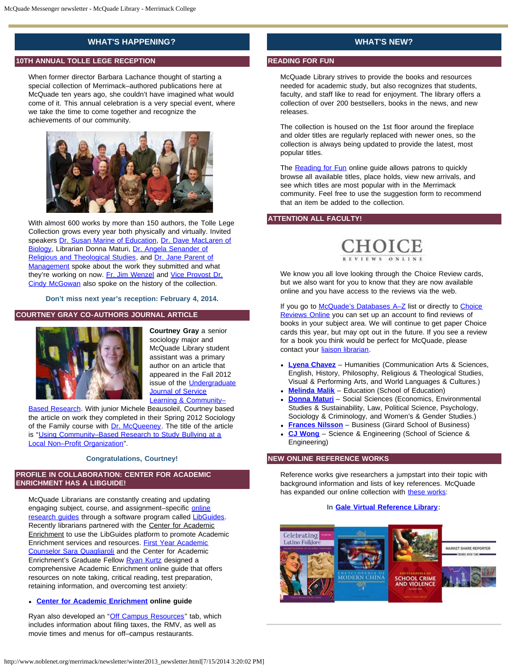# **WHAT'S HAPPENING?**

## **10TH ANNUAL TOLLE LEGE RECEPTION**

When former director Barbara Lachance thought of starting a special collection of Merrimack–authored publications here at McQuade ten years ago, she couldn't have imagined what would come of it. This annual celebration is a very special event, where we take the time to come together and recognize the achievements of our community.



With almost 600 works by more than 150 authors, the Tolle Lege Collection grows every year both physically and virtually. Invited speakers [Dr. Susan Marine of Education](http://www.merrimack.edu/academics/education/med/meet_faculty_staff/susan_marine.php), [Dr. Dave MacLaren of](http://www.merrimack.edu/academics/science_engineering/biology/meet_faculty_staff/mac_laren_personal/) [Biology,](http://www.merrimack.edu/academics/science_engineering/biology/meet_faculty_staff/mac_laren_personal/) Librarian Donna Maturi, [Dr. Angela Senander of](http://www.merrimack.edu/academics/liberal_arts/religious_theological_studies/meet_faculty_staff/angela_senander.php) [Religious and Theological Studies](http://www.merrimack.edu/academics/liberal_arts/religious_theological_studies/meet_faculty_staff/angela_senander.php), and [Dr. Jane Parent of](http://www.merrimack.edu/academics/business/management/meet_faculty_staff/fac_jane_d_parent.php) [Management](http://www.merrimack.edu/academics/business/management/meet_faculty_staff/fac_jane_d_parent.php) spoke about the work they submitted and what they're working on now. [Fr. Jim Wenzel](http://www.merrimack.edu/academics/center_augustinian_study_legacy/pellegrinaggio/) and [Vice Provost Dr.](http://www.merrimack.edu/academics/science_engineering/chemistry/meet_faculty_staff/cynthia_b_mcgowan.php) [Cindy McGowan](http://www.merrimack.edu/academics/science_engineering/chemistry/meet_faculty_staff/cynthia_b_mcgowan.php) also spoke on the history of the collection.

**Don't miss next year's reception: February 4, 2014.**

### **COURTNEY GRAY CO-AUTHORS JOURNAL ARTICLE**



**Courtney Gray** a senior sociology major and McQuade Library student assistant was a primary author on an article that appeared in the Fall 2012 issue of the **[Undergraduate](http://www.bk.psu.edu/academics/journal.htm) [Journal of Service](http://www.bk.psu.edu/academics/journal.htm)** Learning & Community-

**Based Research**. With junior Michele Beausoleil, Courtney based the article on work they completed in their Spring 2012 Sociology of the Family course with [Dr. McQueeney.](http://www.merrimack.edu/academics/liberal_arts/sociology/meet_faculty_staff/krista_mcqueeney.php) The title of the article is "Using Community-Based Research to Study Bullying at a [Local Non–Profit Organization"](http://www.bk.psu.edu/Documents/Academics/Gray_et_al.pdf).

#### **Congratulations, Courtney!**

### **PROFILE IN COLLABORATION: CENTER FOR ACADEMIC ENRICHMENT HAS A LIBGUIDE!**

McQuade Librarians are constantly creating and updating engaging subject, course, and assignment–specific [online](http://libguides.merrimack.edu/) research quides through a software program called [LibGuides](http://springshare.com/libguides/). Recently librarians partnered with the Center for Academic Enrichment to use the LibGuides platform to promote Academic Enrichment services and resources. [First Year Academic](http://www.merrimack.edu/academics/academic_support/center_for_academic_enrichment/first_year_academic_counselor.php) [Counselor Sara Quagliaroli](http://www.merrimack.edu/academics/academic_support/center_for_academic_enrichment/first_year_academic_counselor.php) and the Center for Academic Enrichment's Graduate Fellow [Ryan Kurtz](mailto:kurtzr@merrimack.edu) designed a comprehensive Academic Enrichment online guide that offers resources on note taking, critical reading, test preparation, retaining information, and overcoming test anxiety:

#### **[Center for Academic Enrichment](http://libguides.merrimack.edu/CenterforAcademicEnrichment) online guide**

Ryan also developed an "[Off Campus Resources](http://libguides.merrimack.edu/content.php?pid=355207&sid=2905120)" tab, which includes information about filing taxes, the RMV, as well as movie times and menus for off–campus restaurants.

# **WHAT'S NEW?**

## **READING FOR FUN**

McQuade Library strives to provide the books and resources needed for academic study, but also recognizes that students, faculty, and staff like to read for enjoyment. The library offers a collection of over 200 bestsellers, books in the news, and new releases.

The collection is housed on the 1st floor around the fireplace and older titles are regularly replaced with newer ones, so the collection is always being updated to provide the latest, most popular titles.

The [Reading for Fun](http://libguides.merrimack.edu/readingforfun) online guide allows patrons to quickly browse all available titles, place holds, view new arrivals, and see which titles are most popular with in the Merrimack community. Feel free to use the suggestion form to recommend that an item be added to the collection.

# **ATTENTION ALL FACULTY!**



We know you all love looking through the Choice Review cards, but we also want for you to know that they are now available online and you have access to the reviews via the web.

If you go to McQuade's Databases A-Z list or directly to [Choice](http://proxy3.noblenet.org/login?url=http://www.cro2.org) [Reviews Online](http://proxy3.noblenet.org/login?url=http://www.cro2.org) you can set up an account to find reviews of books in your subject area. We will continue to get paper Choice cards this year, but may opt out in the future. If you see a review for a book you think would be perfect for McQuade, please contact your [liaison librarian](http://libguides.merrimack.edu/content.php?pid=120843&sid=3087257).

- **[Lyena Chavez](http://libguides.merrimack.edu/profile.php?uid=15706)** Humanities (Communication Arts & Sciences, English, History, Philosophy, Religious & Theological Studies, Visual & Performing Arts, and World Languages & Cultures.)
- **[Melinda Malik](http://libguides.merrimack.edu/profile.php?uid=19335)** Education (School of Education)
- **[Donna Maturi](http://libguides.merrimack.edu/profile.php?uid=15707)** Social Sciences (Economics, Environmental Studies & Sustainability, Law, Political Science, Psychology, Sociology & Criminology, and Women's & Gender Studies.)
- **[Frances Nilsson](http://libguides.merrimack.edu/profile/Frances)** Business (Girard School of Business)
- **[CJ Wong](http://libguides.merrimack.edu/profile.php?uid=69302)** Science & Engineering (School of Science & Engineering)

# **NEW ONLINE REFERENCE WORKS**

Reference works give researchers a jumpstart into their topic with background information and lists of key references. McQuade has expanded our online collection with [these works](http://www.google.com/url?q=http%3A%2F%2Flibguides.merrimack.edu%2Fnewresources&sa=D&sntz=1&usg=AFQjCNH_FvqWAe6j1xOGBqA7CiPLQpvKBQ):

#### **In [Gale Virtual Reference Library](http://www.google.com/url?q=http%3A%2F%2Fproxy3.noblenet.org%2Flogin%3Furl%3Dhttp%3A%2F%2Finfotrac.galegroup.com%2Fitweb%2Fmlin_n_merrcol%3Fdb%3DGVRL&sa=D&sntz=1&usg=AFQjCNGdLHWdDhedjDLTPPTSzg9CZszawA):**